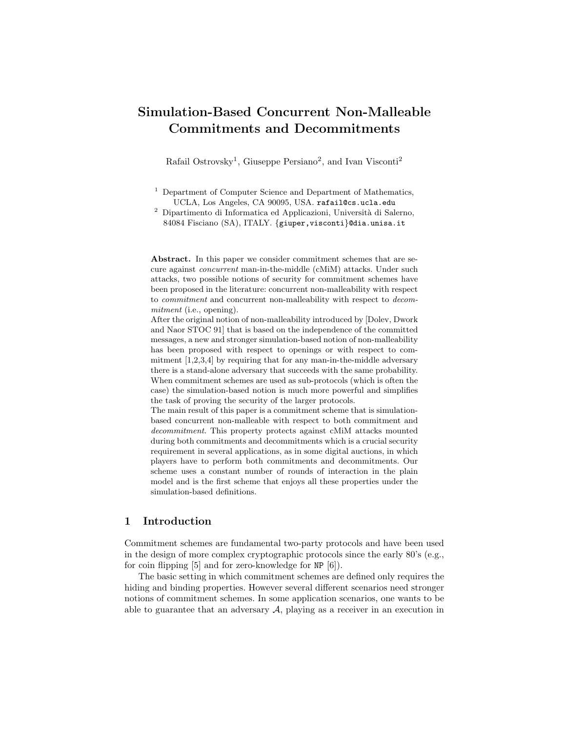# Simulation-Based Concurrent Non-Malleable Commitments and Decommitments

Rafail Ostrovsky<sup>1</sup>, Giuseppe Persiano<sup>2</sup>, and Ivan Visconti<sup>2</sup>

Abstract. In this paper we consider commitment schemes that are secure against concurrent man-in-the-middle (cMiM) attacks. Under such attacks, two possible notions of security for commitment schemes have been proposed in the literature: concurrent non-malleability with respect to commitment and concurrent non-malleability with respect to decommitment (i.e., opening).

After the original notion of non-malleability introduced by [Dolev, Dwork and Naor STOC 91] that is based on the independence of the committed messages, a new and stronger simulation-based notion of non-malleability has been proposed with respect to openings or with respect to commitment  $[1,2,3,4]$  by requiring that for any man-in-the-middle adversary there is a stand-alone adversary that succeeds with the same probability. When commitment schemes are used as sub-protocols (which is often the case) the simulation-based notion is much more powerful and simplifies the task of proving the security of the larger protocols.

The main result of this paper is a commitment scheme that is simulationbased concurrent non-malleable with respect to both commitment and decommitment. This property protects against cMiM attacks mounted during both commitments and decommitments which is a crucial security requirement in several applications, as in some digital auctions, in which players have to perform both commitments and decommitments. Our scheme uses a constant number of rounds of interaction in the plain model and is the first scheme that enjoys all these properties under the simulation-based definitions.

### 1 Introduction

Commitment schemes are fundamental two-party protocols and have been used in the design of more complex cryptographic protocols since the early 80's (e.g., for coin flipping [5] and for zero-knowledge for NP [6]).

The basic setting in which commitment schemes are defined only requires the hiding and binding properties. However several different scenarios need stronger notions of commitment schemes. In some application scenarios, one wants to be able to guarantee that an adversary  $A$ , playing as a receiver in an execution in

<sup>&</sup>lt;sup>1</sup> Department of Computer Science and Department of Mathematics, UCLA, Los Angeles, CA 90095, USA. rafail@cs.ucla.edu

<sup>&</sup>lt;sup>2</sup> Dipartimento di Informatica ed Applicazioni, Università di Salerno, 84084 Fisciano (SA), ITALY. {giuper, visconti}@dia.unisa.it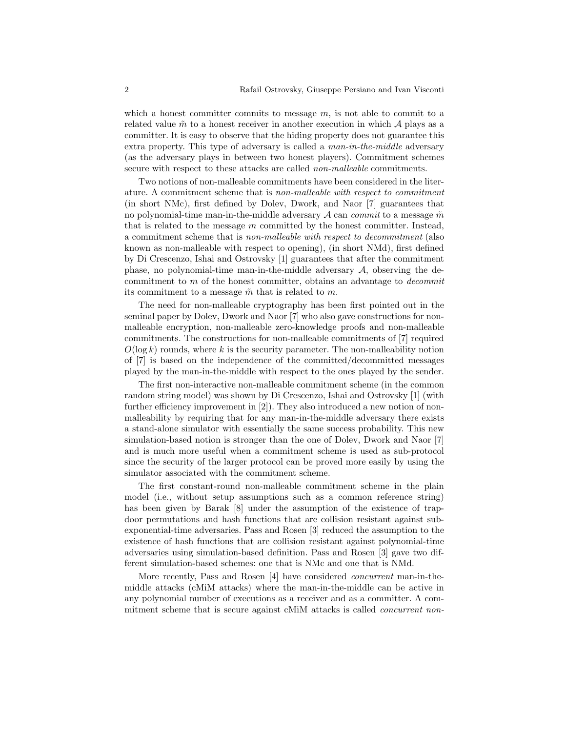which a honest committer commits to message  $m$ , is not able to commit to a related value  $\tilde{m}$  to a honest receiver in another execution in which  $\mathcal{A}$  plays as a committer. It is easy to observe that the hiding property does not guarantee this extra property. This type of adversary is called a *man-in-the-middle* adversary (as the adversary plays in between two honest players). Commitment schemes secure with respect to these attacks are called *non-malleable* commitments.

Two notions of non-malleable commitments have been considered in the literature. A commitment scheme that is non-malleable with respect to commitment (in short NMc), first defined by Dolev, Dwork, and Naor [7] guarantees that no polynomial-time man-in-the-middle adversary  $A$  can *commit* to a message  $\tilde{m}$ that is related to the message  $m$  committed by the honest committer. Instead, a commitment scheme that is non-malleable with respect to decommitment (also known as non-malleable with respect to opening), (in short NMd), first defined by Di Crescenzo, Ishai and Ostrovsky [1] guarantees that after the commitment phase, no polynomial-time man-in-the-middle adversary  $A$ , observing the decommitment to  $m$  of the honest committer, obtains an advantage to *decommit* its commitment to a message  $\tilde{m}$  that is related to m.

The need for non-malleable cryptography has been first pointed out in the seminal paper by Dolev, Dwork and Naor [7] who also gave constructions for nonmalleable encryption, non-malleable zero-knowledge proofs and non-malleable commitments. The constructions for non-malleable commitments of [7] required  $O(\log k)$  rounds, where k is the security parameter. The non-malleability notion of [7] is based on the independence of the committed/decommitted messages played by the man-in-the-middle with respect to the ones played by the sender.

The first non-interactive non-malleable commitment scheme (in the common random string model) was shown by Di Crescenzo, Ishai and Ostrovsky [1] (with further efficiency improvement in [2]). They also introduced a new notion of nonmalleability by requiring that for any man-in-the-middle adversary there exists a stand-alone simulator with essentially the same success probability. This new simulation-based notion is stronger than the one of Dolev, Dwork and Naor [7] and is much more useful when a commitment scheme is used as sub-protocol since the security of the larger protocol can be proved more easily by using the simulator associated with the commitment scheme.

The first constant-round non-malleable commitment scheme in the plain model (i.e., without setup assumptions such as a common reference string) has been given by Barak [8] under the assumption of the existence of trapdoor permutations and hash functions that are collision resistant against subexponential-time adversaries. Pass and Rosen [3] reduced the assumption to the existence of hash functions that are collision resistant against polynomial-time adversaries using simulation-based definition. Pass and Rosen [3] gave two different simulation-based schemes: one that is NMc and one that is NMd.

More recently, Pass and Rosen [4] have considered concurrent man-in-themiddle attacks (cMiM attacks) where the man-in-the-middle can be active in any polynomial number of executions as a receiver and as a committer. A commitment scheme that is secure against cMiM attacks is called *concurrent non*-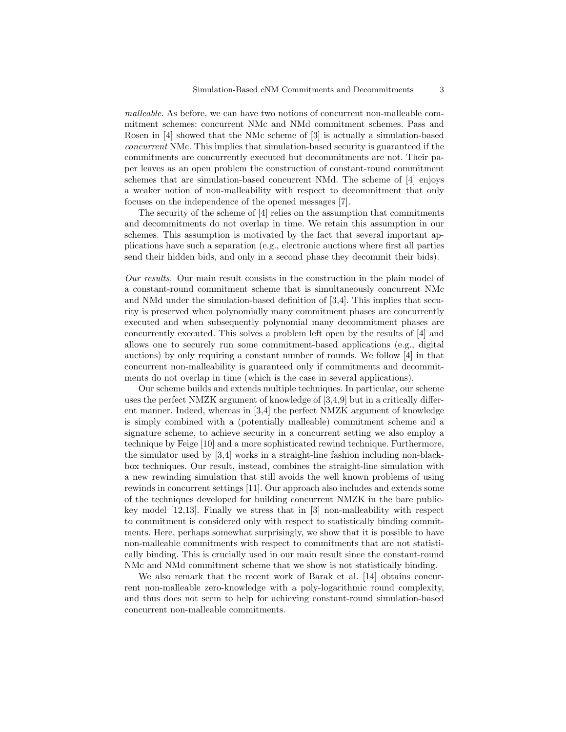malleable. As before, we can have two notions of concurrent non-malleable commitment schemes: concurrent NMc and NMd commitment schemes. Pass and Rosen in [4] showed that the NMc scheme of [3] is actually a simulation-based concurrent NMc. This implies that simulation-based security is guaranteed if the commitments are concurrently executed but decommitments are not. Their paper leaves as an open problem the construction of constant-round commitment schemes that are simulation-based concurrent NMd. The scheme of [4] enjoys a weaker notion of non-malleability with respect to decommitment that only focuses on the independence of the opened messages [7].

The security of the scheme of [4] relies on the assumption that commitments and decommitments do not overlap in time. We retain this assumption in our schemes. This assumption is motivated by the fact that several important applications have such a separation (e.g., electronic auctions where first all parties send their hidden bids, and only in a second phase they decommit their bids).

Our results. Our main result consists in the construction in the plain model of a constant-round commitment scheme that is simultaneously concurrent NMc and NMd under the simulation-based definition of [3,4]. This implies that security is preserved when polynomially many commitment phases are concurrently executed and when subsequently polynomial many decommitment phases are concurrently executed. This solves a problem left open by the results of [4] and allows one to securely run some commitment-based applications (e.g., digital auctions) by only requiring a constant number of rounds. We follow [4] in that concurrent non-malleability is guaranteed only if commitments and decommitments do not overlap in time (which is the case in several applications).

Our scheme builds and extends multiple techniques. In particular, our scheme uses the perfect NMZK argument of knowledge of [3,4,9] but in a critically different manner. Indeed, whereas in [3,4] the perfect NMZK argument of knowledge is simply combined with a (potentially malleable) commitment scheme and a signature scheme, to achieve security in a concurrent setting we also employ a technique by Feige [10] and a more sophisticated rewind technique. Furthermore, the simulator used by [3,4] works in a straight-line fashion including non-blackbox techniques. Our result, instead, combines the straight-line simulation with a new rewinding simulation that still avoids the well known problems of using rewinds in concurrent settings [11]. Our approach also includes and extends some of the techniques developed for building concurrent NMZK in the bare publickey model [12,13]. Finally we stress that in [3] non-malleability with respect to commitment is considered only with respect to statistically binding commitments. Here, perhaps somewhat surprisingly, we show that it is possible to have non-malleable commitments with respect to commitments that are not statistically binding. This is crucially used in our main result since the constant-round NMc and NMd commitment scheme that we show is not statistically binding.

We also remark that the recent work of Barak et al. [14] obtains concurrent non-malleable zero-knowledge with a poly-logarithmic round complexity, and thus does not seem to help for achieving constant-round simulation-based concurrent non-malleable commitments.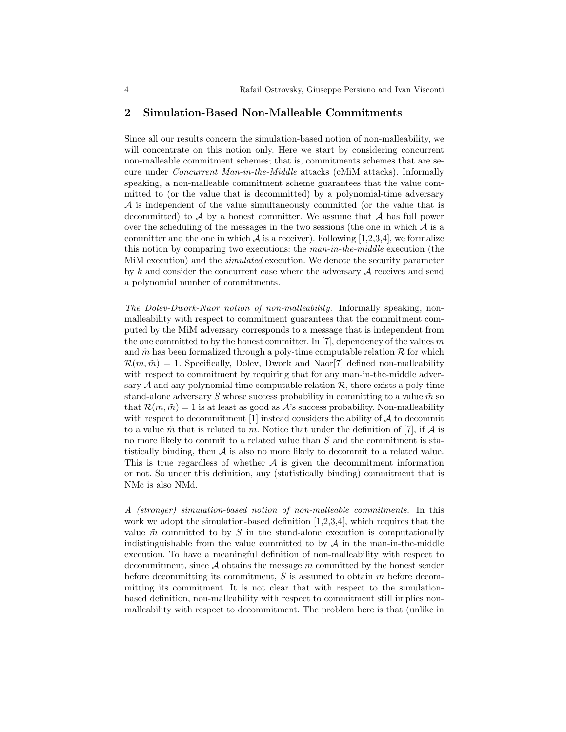## 2 Simulation-Based Non-Malleable Commitments

Since all our results concern the simulation-based notion of non-malleability, we will concentrate on this notion only. Here we start by considering concurrent non-malleable commitment schemes; that is, commitments schemes that are secure under Concurrent Man-in-the-Middle attacks (cMiM attacks). Informally speaking, a non-malleable commitment scheme guarantees that the value committed to (or the value that is decommitted) by a polynomial-time adversary A is independent of the value simultaneously committed (or the value that is decommitted) to  $\mathcal A$  by a honest committer. We assume that  $\mathcal A$  has full power over the scheduling of the messages in the two sessions (the one in which  $A$  is a committer and the one in which  $A$  is a receiver). Following [1,2,3,4], we formalize this notion by comparing two executions: the man-in-the-middle execution (the MiM execution) and the simulated execution. We denote the security parameter by  $k$  and consider the concurrent case where the adversary  $A$  receives and send a polynomial number of commitments.

The Dolev-Dwork-Naor notion of non-malleability. Informally speaking, nonmalleability with respect to commitment guarantees that the commitment computed by the MiM adversary corresponds to a message that is independent from the one committed to by the honest committer. In [7], dependency of the values m and  $\tilde{m}$  has been formalized through a poly-time computable relation  $\mathcal R$  for which  $\mathcal{R}(m, \tilde{m}) = 1$ . Specifically, Doley, Dwork and Naor [7] defined non-malleability with respect to commitment by requiring that for any man-in-the-middle adversary  $\mathcal A$  and any polynomial time computable relation  $\mathcal R$ , there exists a poly-time stand-alone adversary S whose success probability in committing to a value  $\tilde{m}$  so that  $\mathcal{R}(m, \tilde{m}) = 1$  is at least as good as  $\mathcal{A}$ 's success probability. Non-malleability with respect to decommitment  $[1]$  instead considers the ability of  $A$  to decommit to a value  $\tilde{m}$  that is related to m. Notice that under the definition of [7], if  $\mathcal A$  is no more likely to commit to a related value than S and the commitment is statistically binding, then A is also no more likely to decommit to a related value. This is true regardless of whether  $A$  is given the decommitment information or not. So under this definition, any (statistically binding) commitment that is NMc is also NMd.

A (stronger) simulation-based notion of non-malleable commitments. In this work we adopt the simulation-based definition [1,2,3,4], which requires that the value  $\tilde{m}$  committed to by S in the stand-alone execution is computationally indistinguishable from the value committed to by  $A$  in the man-in-the-middle execution. To have a meaningful definition of non-malleability with respect to decommitment, since  $A$  obtains the message m committed by the honest sender before decommitting its commitment,  $S$  is assumed to obtain  $m$  before decommitting its commitment. It is not clear that with respect to the simulationbased definition, non-malleability with respect to commitment still implies nonmalleability with respect to decommitment. The problem here is that (unlike in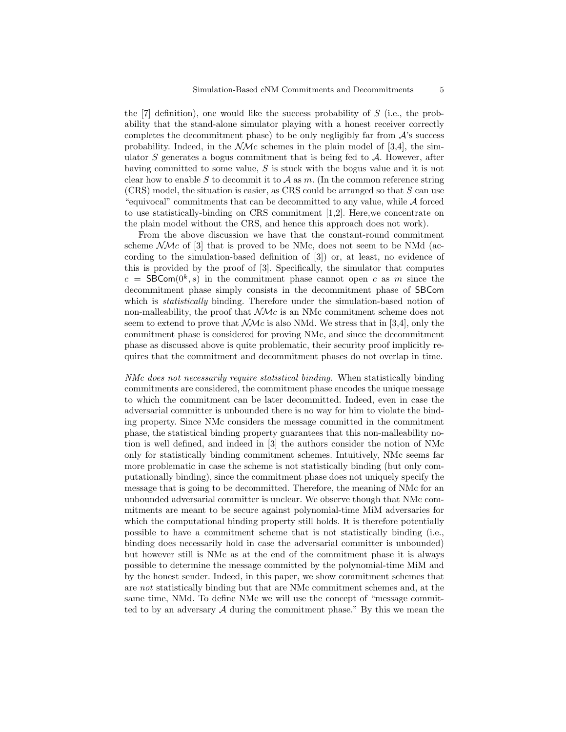the  $[7]$  definition), one would like the success probability of S (i.e., the probability that the stand-alone simulator playing with a honest receiver correctly completes the decommitment phase) to be only negligibly far from  $\mathcal{A}$ 's success probability. Indeed, in the  $\mathcal{N\!M}c$  schemes in the plain model of [3,4], the simulator  $S$  generates a bogus commitment that is being fed to  $A$ . However, after having committed to some value, S is stuck with the bogus value and it is not clear how to enable S to decommit it to A as m. (In the common reference string  $(CRS)$  model, the situation is easier, as CRS could be arranged so that  $S$  can use "equivocal" commitments that can be decommitted to any value, while  $A$  forced to use statistically-binding on CRS commitment [1,2]. Here,we concentrate on the plain model without the CRS, and hence this approach does not work).

From the above discussion we have that the constant-round commitment scheme  $NMc$  of [3] that is proved to be NMc, does not seem to be NMd (according to the simulation-based definition of [3]) or, at least, no evidence of this is provided by the proof of [3]. Specifically, the simulator that computes  $c = \textsf{SBCom}(0^k, s)$  in the commitment phase cannot open c as m since the decommitment phase simply consists in the decommitment phase of SBCom which is *statistically* binding. Therefore under the simulation-based notion of non-malleability, the proof that  $\mathcal{NMC}$  is an NMc commitment scheme does not seem to extend to prove that  $\mathcal{N\!M}c$  is also NMd. We stress that in [3,4], only the commitment phase is considered for proving NMc, and since the decommitment phase as discussed above is quite problematic, their security proof implicitly requires that the commitment and decommitment phases do not overlap in time.

NMc does not necessarily require statistical binding. When statistically binding commitments are considered, the commitment phase encodes the unique message to which the commitment can be later decommitted. Indeed, even in case the adversarial committer is unbounded there is no way for him to violate the binding property. Since NMc considers the message committed in the commitment phase, the statistical binding property guarantees that this non-malleability notion is well defined, and indeed in [3] the authors consider the notion of NMc only for statistically binding commitment schemes. Intuitively, NMc seems far more problematic in case the scheme is not statistically binding (but only computationally binding), since the commitment phase does not uniquely specify the message that is going to be decommitted. Therefore, the meaning of NMc for an unbounded adversarial committer is unclear. We observe though that NMc commitments are meant to be secure against polynomial-time MiM adversaries for which the computational binding property still holds. It is therefore potentially possible to have a commitment scheme that is not statistically binding (i.e., binding does necessarily hold in case the adversarial committer is unbounded) but however still is NMc as at the end of the commitment phase it is always possible to determine the message committed by the polynomial-time MiM and by the honest sender. Indeed, in this paper, we show commitment schemes that are not statistically binding but that are NMc commitment schemes and, at the same time, NMd. To define NMc we will use the concept of "message committed to by an adversary  $A$  during the commitment phase." By this we mean the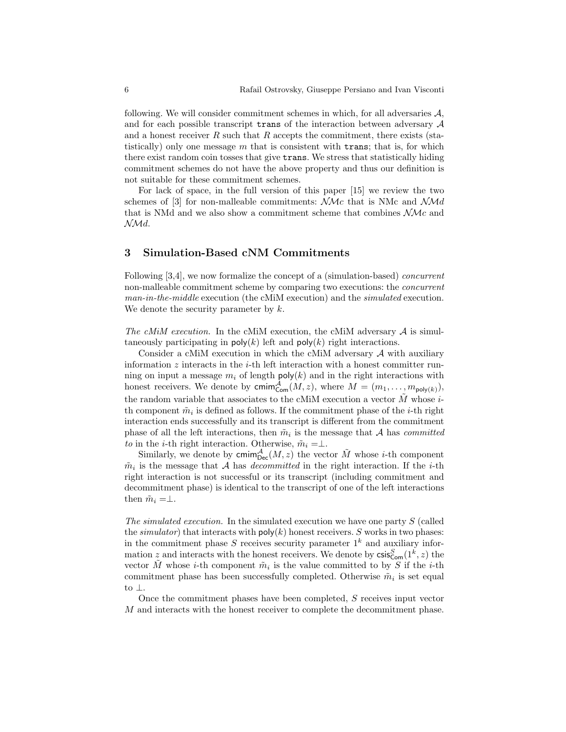following. We will consider commitment schemes in which, for all adversaries  $\mathcal{A}$ , and for each possible transcript trans of the interaction between adversary  $A$ and a honest receiver  $R$  such that  $R$  accepts the commitment, there exists (statistically) only one message  $m$  that is consistent with trans; that is, for which there exist random coin tosses that give trans. We stress that statistically hiding commitment schemes do not have the above property and thus our definition is not suitable for these commitment schemes.

For lack of space, in the full version of this paper [15] we review the two schemes of  $[3]$  for non-malleable commitments:  $N\mathcal{M}c$  that is NMc and  $\mathcal{N}\mathcal{M}d$ that is NMd and we also show a commitment scheme that combines  $\mathcal{N\!M}c$  and NMd.

#### 3 Simulation-Based cNM Commitments

Following [3,4], we now formalize the concept of a (simulation-based) *concurrent* non-malleable commitment scheme by comparing two executions: the concurrent man-in-the-middle execution (the cMiM execution) and the simulated execution. We denote the security parameter by  $k$ .

The cMiM execution. In the cMiM execution, the cMiM adversary  $A$  is simultaneously participating in  $\mathsf{poly}(k)$  left and  $\mathsf{poly}(k)$  right interactions.

Consider a cMiM execution in which the cMiM adversary A with auxiliary information  $z$  interacts in the  $i$ -th left interaction with a honest committer running on input a message  $m_i$  of length  $\text{poly}(k)$  and in the right interactions with honest receivers. We denote by  $\text{cmin}_{\text{Com}}^{\mathcal{A}}(M, z)$ , where  $M = (m_1, \ldots, m_{\text{poly}(k)}),$ the random variable that associates to the cMiM execution a vector  $\tilde{M}$  whose *i*th component  $\tilde{m}_i$  is defined as follows. If the commitment phase of the *i*-th right interaction ends successfully and its transcript is different from the commitment phase of all the left interactions, then  $\tilde{m}_i$  is the message that A has *committed* to in the *i*-th right interaction. Otherwise,  $\tilde{m}_i = \perp$ .

Similarly, we denote by  $\textsf{cmin}^{\mathcal{A}}_{\textsf{Dec}}(M,z)$  the vector  $\tilde{M}$  whose *i*-th component  $\tilde{m}_i$  is the message that A has *decommitted* in the right interaction. If the *i*-th right interaction is not successful or its transcript (including commitment and decommitment phase) is identical to the transcript of one of the left interactions then  $\tilde{m}_i = \perp$ .

The simulated execution. In the simulated execution we have one party S (called the simulator) that interacts with  $poly(k)$  honest receivers. S works in two phases: in the commitment phase S receives security parameter  $1<sup>k</sup>$  and auxiliary information z and interacts with the honest receivers. We denote by  $\textsf{csis}^S_{\textsf{Com}}(1^k, z)$  the vector  $\tilde{M}$  whose *i*-th component  $\tilde{m}_i$  is the value committed to by  $\tilde{S}$  if the *i*-th commitment phase has been successfully completed. Otherwise  $\tilde{m}_i$  is set equal to ⊥.

Once the commitment phases have been completed, S receives input vector M and interacts with the honest receiver to complete the decommitment phase.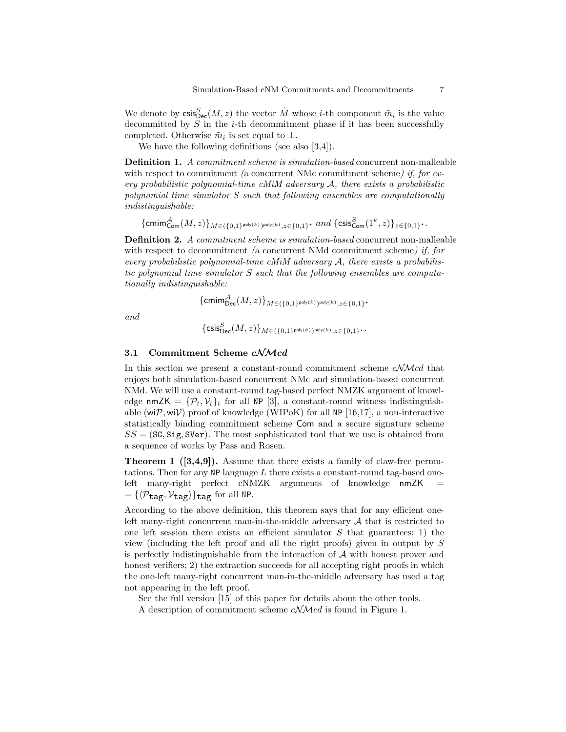We denote by  $\mathsf{csis}_{\mathsf{Dec}}^S(M, z)$  the vector  $\tilde{M}$  whose *i*-th component  $\tilde{m}_i$  is the value decommitted by  $S$  in the *i*-th decommitment phase if it has been successfully completed. Otherwise  $\tilde{m}_i$  is set equal to  $\perp$ .

We have the following definitions (see also [3,4]).

Definition 1. A commitment scheme is simulation-based concurrent non-malleable with respect to commitment (a concurrent NMc commitment scheme) if, for every probabilistic polynomial-time  $cMiM$  adversary A, there exists a probabilistic polynomial time simulator S such that following ensembles are computationally indistinguishable:

$$
\{\operatorname{\mathsf{cmin}}_{\mathsf{Com}}^\mathcal A(M,z)\}_{M\in (\{0,1\}^{\operatorname{\mathsf{poly}}(k)})^{\operatorname{\mathsf{poly}}(k)},z\in \{0,1\}^\star} \text{ and } \{\operatorname{\mathsf{csis}}_{\mathsf{Com}}^S(1^k,z)\}_{z\in \{0,1\}^\star}.
$$

Definition 2. A commitment scheme is simulation-based concurrent non-malleable with respect to decommitment (a concurrent NMd commitment scheme) if, for every probabilistic polynomial-time cMiM adversary  $A$ , there exists a probabilistic polynomial time simulator S such that the following ensembles are computationally indistinguishable:

$$
\{\operatorname{\mathsf{cmin}}_{\mathsf{Dec}}^{\mathcal{A}}(M,z)\}_{M\in(\{0,1\}^{\mathsf{poly}(k)})^{\mathsf{poly}(k)},z\in\{0,1\}^{\star}}
$$

and

$$
\{\mathsf{csis}^S_{\mathsf{Dec}}(M,z)\}_{M\in(\{0,1\}^{\mathsf{poly}(k)})^{\mathsf{poly}(k)},z\in\{0,1\}^\star}.
$$

#### 3.1 Commitment Scheme cNMcd

In this section we present a constant-round commitment scheme cNMcd that enjoys both simulation-based concurrent NMc and simulation-based concurrent NMd. We will use a constant-round tag-based perfect NMZK argument of knowledge nmZK =  $\{\mathcal{P}_t, \mathcal{V}_t\}_t$  for all NP [3], a constant-round witness indistinguishable (wiP, wiV) proof of knowledge (WIPoK) for all NP [16,17], a non-interactive statistically binding commitment scheme Com and a secure signature scheme  $SS = (SG, Sig, Sver)$ . The most sophisticated tool that we use is obtained from a sequence of works by Pass and Rosen.

**Theorem 1** ([3,4,9]). Assume that there exists a family of claw-free permutations. Then for any  $NP$  language  $L$  there exists a constant-round tag-based oneleft many-right perfect cNMZK arguments of knowledge nmZK =  $= {\langle \mathcal{P}_{\texttt{tag}}, \mathcal{V}_{\texttt{tag}} \rangle}$ tag for all NP.

According to the above definition, this theorem says that for any efficient oneleft many-right concurrent man-in-the-middle adversary A that is restricted to one left session there exists an efficient simulator  $S$  that guarantees: 1) the view (including the left proof and all the right proofs) given in output by S is perfectly indistinguishable from the interaction of  $A$  with honest prover and honest verifiers; 2) the extraction succeeds for all accepting right proofs in which the one-left many-right concurrent man-in-the-middle adversary has used a tag not appearing in the left proof.

See the full version [15] of this paper for details about the other tools.

A description of commitment scheme cNMcd is found in Figure 1.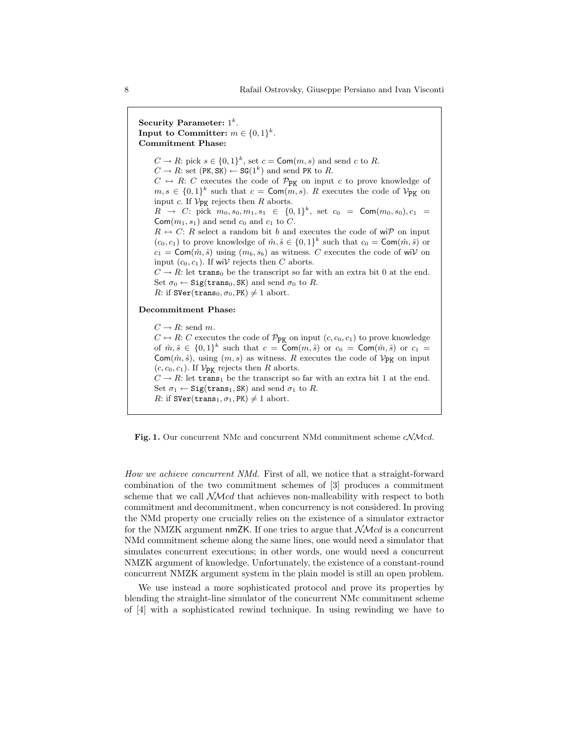Security Parameter:  $1^k$ . Input to Committer:  $m \in \{0,1\}^k$ . Commitment Phase:  $C \to R$ : pick  $s \in \{0,1\}^k$ , set  $c = \text{Com}(m, s)$  and send c to R.  $C \rightarrow R$ : set  $(\text{PK}, \text{SK}) \leftarrow \text{SG}(1^k)$  and send PK to R.  $C \leftrightarrow R: C$  executes the code of  $\mathcal{P}_{PK}$  on input c to prove knowledge of  $m, s \in \{0,1\}^k$  such that  $c = \textsf{Com}(m, s)$ . R executes the code of  $\mathcal{V}_{\textsf{PK}}$  on input c. If  $V_{PK}$  rejects then R aborts.  $R \rightarrow C: \text{ pick } m_0, s_0, m_1, s_1 \in \{0,1\}^k, \text{ set } c_0 = \text{Com}(m_0, s_0), c_1 =$  $\mathsf{Com}(m_1, s_1)$  and send  $c_0$  and  $c_1$  to C.  $R \leftrightarrow C$ : R select a random bit b and executes the code of wiP on input  $(c_0, c_1)$  to prove knowledge of  $\hat{m}, \hat{s} \in \{0, 1\}^k$  such that  $c_0 = \text{Com}(\hat{m}, \hat{s})$  or  $c_1 = \textsf{Com}(\hat{m}, \hat{s})$  using  $(m_b, s_b)$  as witness. C executes the code of wiV on input  $(c_0, c_1)$ . If wiV rejects then C aborts.  $C \rightarrow R$ : let trans<sub>0</sub> be the transcript so far with an extra bit 0 at the end. Set  $\sigma_0 \leftarrow$  Sig(trans<sub>0</sub>, SK) and send  $\sigma_0$  to R. R: if SVer( $trans_0, \sigma_0, PK$ )  $\neq 1$  abort. Decommitment Phase:  $C \rightarrow R$ : send m.  $C \leftrightarrow R$ : C executes the code of  $\mathcal{P}_{\mathbf{P}K}$  on input  $(c, c_0, c_1)$  to prove knowledge of  $\hat{m}, \hat{s} \in \{0,1\}^k$  such that  $c = \textsf{Com}(m, \hat{s})$  or  $c_0 = \textsf{Com}(\hat{m}, \hat{s})$  or  $c_1 =$  $\mathsf{Com}(\hat{m},\hat{s}),$  using  $(m, s)$  as witness. R executes the code of  $\mathcal{V}_{\mathsf{PK}}$  on input  $(c, c_0, c_1)$ . If  $\mathcal{V}_{\mathsf{PK}}$  rejects then R aborts.  $C \rightarrow R$ : let trans<sub>1</sub> be the transcript so far with an extra bit 1 at the end. Set  $\sigma_1 \leftarrow$  Sig(trans<sub>1</sub>, SK) and send  $\sigma_1$  to R. R: if  $SVer(trains_1, \sigma_1, PK) \neq 1$  abort.

Fig. 1. Our concurrent NMc and concurrent NMd commitment scheme cNMcd.

How we achieve concurrent NMd. First of all, we notice that a straight-forward combination of the two commitment schemes of [3] produces a commitment scheme that we call  $N\mathcal{M}cd$  that achieves non-malleability with respect to both commitment and decommitment, when concurrency is not considered. In proving the NMd property one crucially relies on the existence of a simulator extractor for the NMZK argument  $nmZK$ . If one tries to argue that  $N\mathcal{M}cd$  is a concurrent NMd commitment scheme along the same lines, one would need a simulator that simulates concurrent executions; in other words, one would need a concurrent NMZK argument of knowledge. Unfortunately, the existence of a constant-round concurrent NMZK argument system in the plain model is still an open problem.

We use instead a more sophisticated protocol and prove its properties by blending the straight-line simulator of the concurrent NMc commitment scheme of [4] with a sophisticated rewind technique. In using rewinding we have to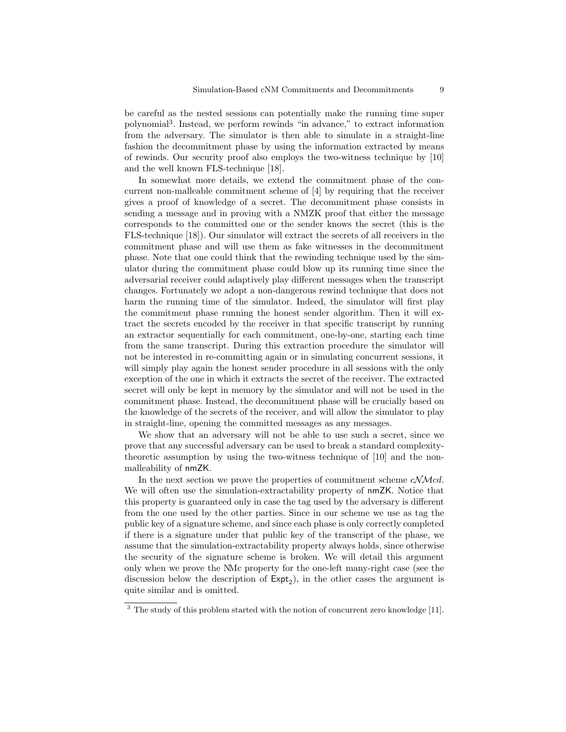be careful as the nested sessions can potentially make the running time super polynomial<sup>3</sup> . Instead, we perform rewinds "in advance," to extract information from the adversary. The simulator is then able to simulate in a straight-line fashion the decommitment phase by using the information extracted by means of rewinds. Our security proof also employs the two-witness technique by [10] and the well known FLS-technique [18].

In somewhat more details, we extend the commitment phase of the concurrent non-malleable commitment scheme of [4] by requiring that the receiver gives a proof of knowledge of a secret. The decommitment phase consists in sending a message and in proving with a NMZK proof that either the message corresponds to the committed one or the sender knows the secret (this is the FLS-technique [18]). Our simulator will extract the secrets of all receivers in the commitment phase and will use them as fake witnesses in the decommitment phase. Note that one could think that the rewinding technique used by the simulator during the commitment phase could blow up its running time since the adversarial receiver could adaptively play different messages when the transcript changes. Fortunately we adopt a non-dangerous rewind technique that does not harm the running time of the simulator. Indeed, the simulator will first play the commitment phase running the honest sender algorithm. Then it will extract the secrets encoded by the receiver in that specific transcript by running an extractor sequentially for each commitment, one-by-one, starting each time from the same transcript. During this extraction procedure the simulator will not be interested in re-committing again or in simulating concurrent sessions, it will simply play again the honest sender procedure in all sessions with the only exception of the one in which it extracts the secret of the receiver. The extracted secret will only be kept in memory by the simulator and will not be used in the commitment phase. Instead, the decommitment phase will be crucially based on the knowledge of the secrets of the receiver, and will allow the simulator to play in straight-line, opening the committed messages as any messages.

We show that an adversary will not be able to use such a secret, since we prove that any successful adversary can be used to break a standard complexitytheoretic assumption by using the two-witness technique of [10] and the nonmalleability of nmZK.

In the next section we prove the properties of commitment scheme  $cN\mathcal{M}cd$ . We will often use the simulation-extractability property of  $nmZK$ . Notice that this property is guaranteed only in case the tag used by the adversary is different from the one used by the other parties. Since in our scheme we use as tag the public key of a signature scheme, and since each phase is only correctly completed if there is a signature under that public key of the transcript of the phase, we assume that the simulation-extractability property always holds, since otherwise the security of the signature scheme is broken. We will detail this argument only when we prove the NMc property for the one-left many-right case (see the discussion below the description of  $Expt_2$ ), in the other cases the argument is quite similar and is omitted.

<sup>&</sup>lt;sup>3</sup> The study of this problem started with the notion of concurrent zero knowledge [11].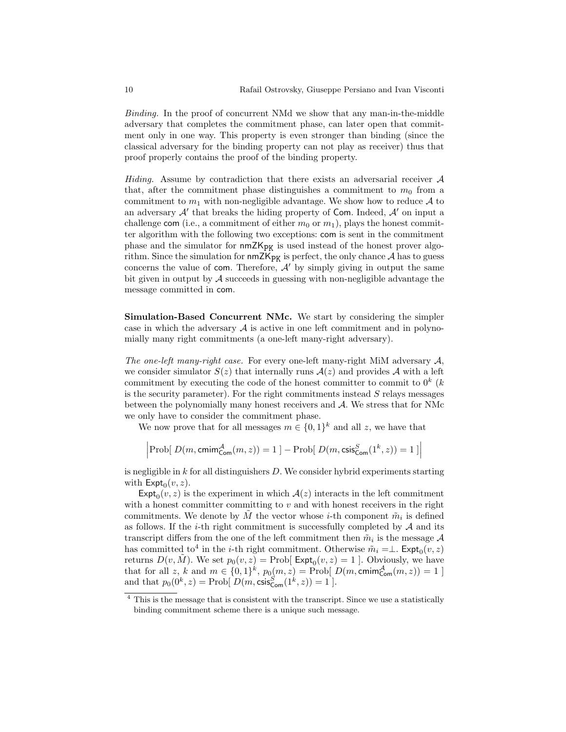Binding. In the proof of concurrent NMd we show that any man-in-the-middle adversary that completes the commitment phase, can later open that commitment only in one way. This property is even stronger than binding (since the classical adversary for the binding property can not play as receiver) thus that proof properly contains the proof of the binding property.

Hiding. Assume by contradiction that there exists an adversarial receiver  $\mathcal A$ that, after the commitment phase distinguishes a commitment to  $m_0$  from a commitment to  $m_1$  with non-negligible advantage. We show how to reduce  $\mathcal A$  to an adversary  $A'$  that breaks the hiding property of Com. Indeed,  $A'$  on input a challenge com (i.e., a commitment of either  $m_0$  or  $m_1$ ), plays the honest committer algorithm with the following two exceptions: com is sent in the commitment phase and the simulator for  $nmZK_{pK}$  is used instead of the honest prover algorithm. Since the simulation for  $nmZK_{PK}$  is perfect, the only chance  $A$  has to guess concerns the value of com. Therefore,  $A'$  by simply giving in output the same bit given in output by  $A$  succeeds in guessing with non-negligible advantage the message committed in com.

Simulation-Based Concurrent NMc. We start by considering the simpler case in which the adversary  $A$  is active in one left commitment and in polynomially many right commitments (a one-left many-right adversary).

The one-left many-right case. For every one-left many-right MiM adversary  $A$ , we consider simulator  $S(z)$  that internally runs  $A(z)$  and provides A with a left commitment by executing the code of the honest committer to commit to  $0^k$  (k is the security parameter). For the right commitments instead  $S$  relays messages between the polynomially many honest receivers and A. We stress that for NMc we only have to consider the commitment phase.

We now prove that for all messages  $m \in \{0,1\}^k$  and all z, we have that

$$
\left|\text{Prob}\left[D(m, \text{cmin}_{\text{Com}}^{\mathcal{A}}(m, z)\right) = 1\right] - \text{Prob}\left[D(m, \text{csis}_{\text{Com}}^S(1^k, z)) = 1\right]\right|
$$

is negligible in  $k$  for all distinguishers  $D$ . We consider hybrid experiments starting with  $\mathsf{Expt}_0(v,z)$ .

 $\text{Expt}_0(v, z)$  is the experiment in which  $\mathcal{A}(z)$  interacts in the left commitment with a honest committer committing to  $v$  and with honest receivers in the right commitments. We denote by  $\tilde{M}$  the vector whose *i*-th component  $\tilde{m}_i$  is defined as follows. If the *i*-th right commitment is successfully completed by  $A$  and its transcript differs from the one of the left commitment then  $\tilde{m}_i$  is the message  $\mathcal A$ has committed to<sup>4</sup> in the *i*-th right commitment. Otherwise  $\tilde{m}_i = \perp$ . Expt<sub>0</sub> $(v, z)$ returns  $D(v, \tilde{M})$ . We set  $p_0(v, z) = \text{Prob}[\text{Expt}_0(v, z) = 1]$ . Obviously, we have that for all z, k and  $m \in \{0,1\}^k$ ,  $p_0(m, z) = \text{Prob}[\ D(m, \text{cmin}_{\text{Com}}^{\mathcal{A}}(m, z)) = 1]$ and that  $p_0(0^k, z) = \text{Prob}[ D(m, \text{cis}_{\text{Com}}^S(1^k, z)) = 1].$ 

<sup>&</sup>lt;sup>4</sup> This is the message that is consistent with the transcript. Since we use a statistically binding commitment scheme there is a unique such message.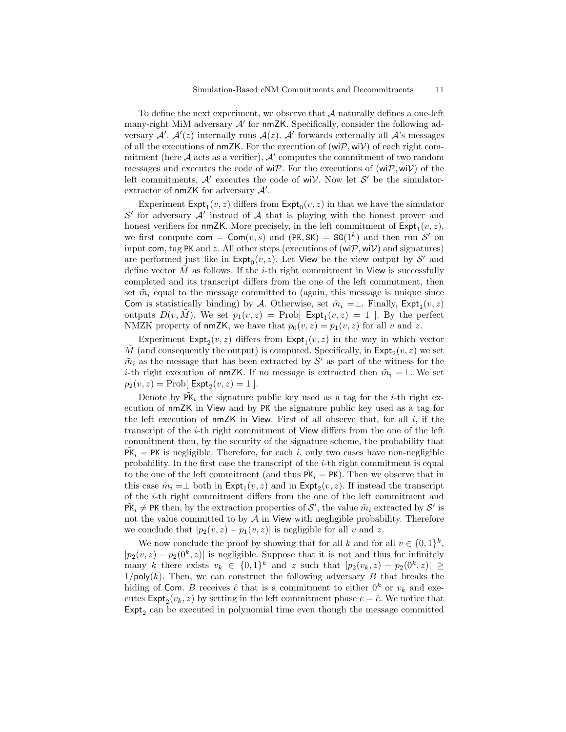To define the next experiment, we observe that  $A$  naturally defines a one-left many-right MiM adversary  $A'$  for nmZK. Specifically, consider the following adversary  $\mathcal{A}'$ .  $\mathcal{A}'(z)$  internally runs  $\mathcal{A}(z)$ .  $\mathcal{A}'$  forwards externally all  $\mathcal{A}'$ 's messages of all the executions of  $nmZK$ . For the execution of  $(wiP, wiV)$  of each right commitment (here  $A$  acts as a verifier),  $A'$  computes the commitment of two random messages and executes the code of wi $\mathcal{P}$ . For the executions of (wi $\mathcal{P}$ , wi $\mathcal{V}$ ) of the left commitments,  $A'$  executes the code of wiv. Now let  $S'$  be the simulatorextractor of  $nmZK$  for adversary  $A'$ .

Experiment  $\text{Expt}_1(v, z)$  differs from  $\text{Expt}_0(v, z)$  in that we have the simulator  $\mathcal{S}'$  for adversary  $\mathcal{A}'$  instead of  $\mathcal A$  that is playing with the honest prover and honest verifiers for  $nmZK$ . More precisely, in the left commitment of  $\textsf{Expt}_1(v,z)$ , we first compute  $com = Com(v, s)$  and  $(PK, SK) = SG(1^k)$  and then run S' on input com, tag PK and z. All other steps (executions of  $(wiP, wiV)$  and signatures) are performed just like in  $\text{Expt}_0(v, z)$ . Let View be the view output by  $\mathcal{S}'$  and define vector  $M$  as follows. If the *i*-th right commitment in View is successfully completed and its transcript differs from the one of the left commitment, then set  $\tilde{m}_i$  equal to the message committed to (again, this message is unique since Com is statistically binding) by A. Otherwise, set  $\tilde{m}_i = \perp$ . Finally, Expt<sub>1</sub> $(v, z)$ outputs  $D(v, \tilde{M})$ . We set  $p_1(v, z) = \text{Prob}[\text{Expt}_1(v, z) = 1]$ . By the perfect NMZK property of nmZK, we have that  $p_0(v, z) = p_1(v, z)$  for all v and z.

Experiment  $\textsf{Expt}_2(v, z)$  differs from  $\textsf{Expt}_1(v, z)$  in the way in which vector  $\tilde{M}$  (and consequently the output) is computed. Specifically, in  $\textsf{Expt}_2(v, z)$  we set  $\tilde{m}_i$  as the message that has been extracted by  $\mathcal{S}'$  as part of the witness for the *i*-th right execution of nmZK. If no message is extracted then  $\tilde{m}_i = \perp$ . We set  $p_2(v, z) = \text{Prob}[ \text{ Expt}_2(v, z) = 1].$ 

Denote by  $\tilde{PK}_i$  the signature public key used as a tag for the *i*-th right execution of nmZK in View and by PK the signature public key used as a tag for the left execution of  $nmZK$  in View. First of all observe that, for all i, if the transcript of the i-th right commitment of View differs from the one of the left commitment then, by the security of the signature scheme, the probability that  $\tilde{\text{PK}}_i = \text{PK}$  is negligible. Therefore, for each i, only two cases have non-negligible probability. In the first case the transcript of the  $i$ -th right commitment is equal to the one of the left commitment (and thus  $PK_i = PK$ ). Then we observe that in this case  $\tilde{m}_i = \perp$  both in  $\text{Expt}_1(v, z)$  and in  $\text{Expt}_2(v, z)$ . If instead the transcript of the i-th right commitment differs from the one of the left commitment and  $\tilde{\text{PK}}_i \neq \text{PK}$  then, by the extraction properties of  $\mathcal{S}'$ , the value  $\tilde{m}_i$  extracted by  $\mathcal{S}'$  is not the value committed to by  $A$  in View with negligible probability. Therefore we conclude that  $|p_2(v, z) - p_1(v, z)|$  is negligible for all v and z.

We now conclude the proof by showing that for all k and for all  $v \in \{0,1\}^k$ ,  $|p_2(v, z) - p_2(0^k, z)|$  is negligible. Suppose that it is not and thus for infinitely many k there exists  $v_k \in \{0,1\}^k$  and z such that  $|p_2(v_k, z) - p_2(0^k, z)| \ge$  $1/poly(k)$ . Then, we can construct the following adversary B that breaks the hiding of Com. B receives  $\hat{c}$  that is a commitment to either  $0^k$  or  $v_k$  and executes  $\textsf{Expt}_2(v_k, z)$  by setting in the left commitment phase  $c = \hat{c}$ . We notice that  $\textsf{Expt}_2$  can be executed in polynomial time even though the message committed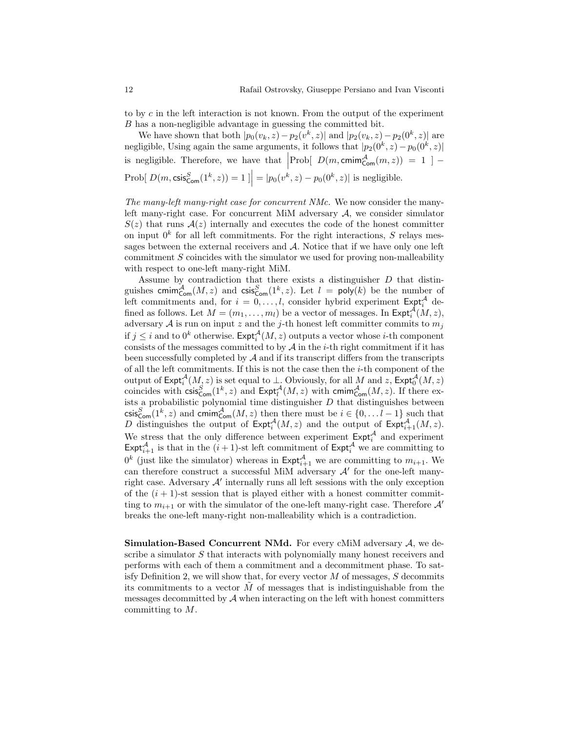to by  $c$  in the left interaction is not known. From the output of the experiment B has a non-negligible advantage in guessing the committed bit.

We have shown that both  $|p_0(v_k, z) - p_2(v^k, z)|$  and  $|p_2(v_k, z) - p_2(0^k, z)|$  are negligible, Using again the same arguments, it follows that  $|p_2(0^k, z) - p_0(0^k, z)|$ is negligible. Therefore, we have that  $\left|\text{Prob}\right| D(m, \text{cmin}_{\text{Com}}^{\mathcal{A}}(m, z)) = 1 \right|$  – Prob[ $D(m, \text{cis}_{\text{Com}}^S(1^k, z)) = 1$ ]  $| = |p_0(v^k, z) - p_0(0^k, z)|$  is negligible.

The many-left many-right case for concurrent NMc. We now consider the manyleft many-right case. For concurrent MiM adversary  $A$ , we consider simulator  $S(z)$  that runs  $A(z)$  internally and executes the code of the honest committer on input  $0^k$  for all left commitments. For the right interactions, S relays messages between the external receivers and  $A$ . Notice that if we have only one left commitment  $S$  coincides with the simulator we used for proving non-malleability with respect to one-left many-right MiM.

Assume by contradiction that there exists a distinguisher D that distinguishes cmim $\mathcal{A}_{\mathsf{Com}}(M,z)$  and csis $\mathcal{S}_{\mathsf{Com}}(1^k,z)$ . Let  $l = \mathsf{poly}(k)$  be the number of left commitments and, for  $i = 0, \ldots, l$ , consider hybrid experiment  $\textsf{Expt}^{\mathcal{A}}_i$  defined as follows. Let  $M = (m_1, \ldots, m_l)$  be a vector of messages. In  $\text{Expt}_i^{\mathcal{A}}(M, z)$ , adversary  $A$  is run on input z and the j-th honest left committer commits to  $m_j$ if  $j \leq i$  and to  $0^k$  otherwise. Expt<sup> $A$ </sup> $(M, z)$  outputs a vector whose *i*-th component consists of the messages committed to by  $A$  in the *i*-th right commitment if it has been successfully completed by  $\mathcal A$  and if its transcript differs from the transcripts of all the left commitments. If this is not the case then the i-th component of the output of  $\text{Expt}_i^{\mathcal{A}}(M, z)$  is set equal to  $\perp$ . Obviously, for all M and  $z$ ,  $\text{Expt}_0^{\mathcal{A}}(M, z)$ coincides with  $\text{cis}_{\text{Com}}^S(1^k, z)$  and  $\text{Expt}_l^{\mathcal{A}}(M, z)$  with  $\text{cmin}_{\text{Com}}^{\mathcal{A}}(M, z)$ . If there exists a probabilistic polynomial time distinguisher  $D$  that distinguishes between csis<sub>Com</sub>(1<sup>k</sup>, z) and cmim<sub>Com</sub>(M, z) then there must be  $i \in \{0, \ldots, l-1\}$  such that D distinguishes the output of  $\text{Expt}_i^{\mathcal{A}}(M, z)$  and the output of  $\text{Expt}_{i+1}^{\mathcal{A}}(M, z)$ . We stress that the only difference between experiment  $\text{Ext}_{i}^{\mathcal{A}}$  and experiment  $\text{Ext}_{i+1}^{\mathcal{A}}$  is that in the  $(i+1)$ -st left commitment of  $\text{Ext}_{i}^{\mathcal{A}}$  we are committing to  $0^k$  (just like the simulator) whereas in  $\text{Expt}_{i+1}^{\mathcal{A}}$  we are committing to  $m_{i+1}$ . We can therefore construct a successful MiM adversary  $A'$  for the one-left manyright case. Adversary  $A'$  internally runs all left sessions with the only exception of the  $(i + 1)$ -st session that is played either with a honest committer committing to  $m_{i+1}$  or with the simulator of the one-left many-right case. Therefore  $\mathcal{A}'$ breaks the one-left many-right non-malleability which is a contradiction.

Simulation-Based Concurrent NMd. For every cMiM adversary A, we describe a simulator S that interacts with polynomially many honest receivers and performs with each of them a commitment and a decommitment phase. To satisfy Definition 2, we will show that, for every vector  $M$  of messages,  $S$  decommits its commitments to a vector  $M$  of messages that is indistinguishable from the messages decommitted by  $A$  when interacting on the left with honest committers committing to M.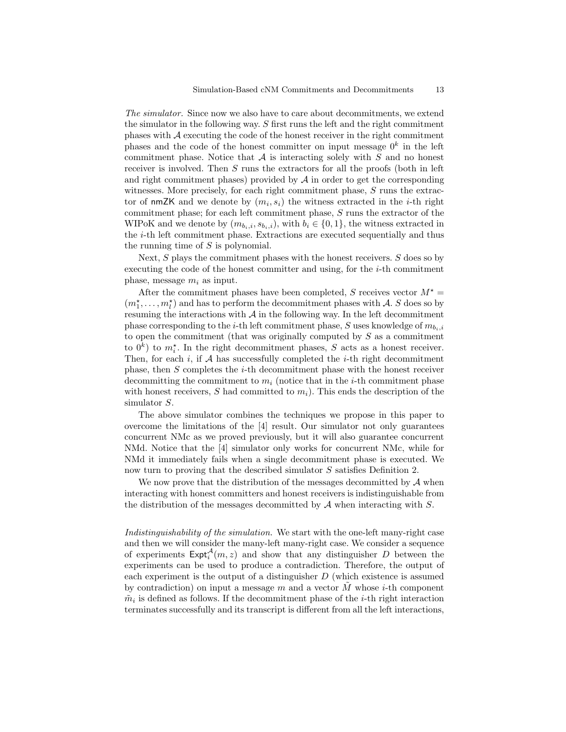The simulator. Since now we also have to care about decommitments, we extend the simulator in the following way. S first runs the left and the right commitment phases with  $A$  executing the code of the honest receiver in the right commitment phases and the code of the honest committer on input message  $0^k$  in the left commitment phase. Notice that  $A$  is interacting solely with  $S$  and no honest receiver is involved. Then S runs the extractors for all the proofs (both in left and right commitment phases) provided by  $A$  in order to get the corresponding witnesses. More precisely, for each right commitment phase, S runs the extractor of  $nmZK$  and we denote by  $(m_i, s_i)$  the witness extracted in the *i*-th right commitment phase; for each left commitment phase, S runs the extractor of the WIPoK and we denote by  $(m_{b_i,i}, s_{b_i,i})$ , with  $b_i \in \{0,1\}$ , the witness extracted in the i-th left commitment phase. Extractions are executed sequentially and thus the running time of S is polynomial.

Next,  $S$  plays the commitment phases with the honest receivers.  $S$  does so by executing the code of the honest committer and using, for the  $i$ -th commitment phase, message  $m_i$  as input.

After the commitment phases have been completed, S receives vector  $M^* =$  $(m_1^{\star}, \ldots, m_l^{\star})$  and has to perform the decommitment phases with A. S does so by resuming the interactions with  $A$  in the following way. In the left decommitment phase corresponding to the *i*-th left commitment phase, S uses knowledge of  $m_{b_i,i}$ to open the commitment (that was originally computed by  $S$  as a commitment to  $0^k$ ) to  $m_i^*$ . In the right decommitment phases, S acts as a honest receiver. Then, for each  $i$ , if  $A$  has successfully completed the  $i$ -th right decommitment phase, then S completes the i-th decommitment phase with the honest receiver decommitting the commitment to  $m_i$  (notice that in the *i*-th commitment phase with honest receivers, S had committed to  $m_i$ ). This ends the description of the simulator S.

The above simulator combines the techniques we propose in this paper to overcome the limitations of the [4] result. Our simulator not only guarantees concurrent NMc as we proved previously, but it will also guarantee concurrent NMd. Notice that the [4] simulator only works for concurrent NMc, while for NMd it immediately fails when a single decommitment phase is executed. We now turn to proving that the described simulator S satisfies Definition 2.

We now prove that the distribution of the messages decommitted by  $A$  when interacting with honest committers and honest receivers is indistinguishable from the distribution of the messages decommitted by  $\mathcal A$  when interacting with  $S$ .

Indistinguishability of the simulation. We start with the one-left many-right case and then we will consider the many-left many-right case. We consider a sequence of experiments  $\textsf{Expt}_i^{\mathcal{A}}(m,z)$  and show that any distinguisher D between the experiments can be used to produce a contradiction. Therefore, the output of each experiment is the output of a distinguisher  $D$  (which existence is assumed by contradiction) on input a message m and a vector M whose i-th component  $\tilde{m}_i$  is defined as follows. If the decommitment phase of the *i*-th right interaction terminates successfully and its transcript is different from all the left interactions,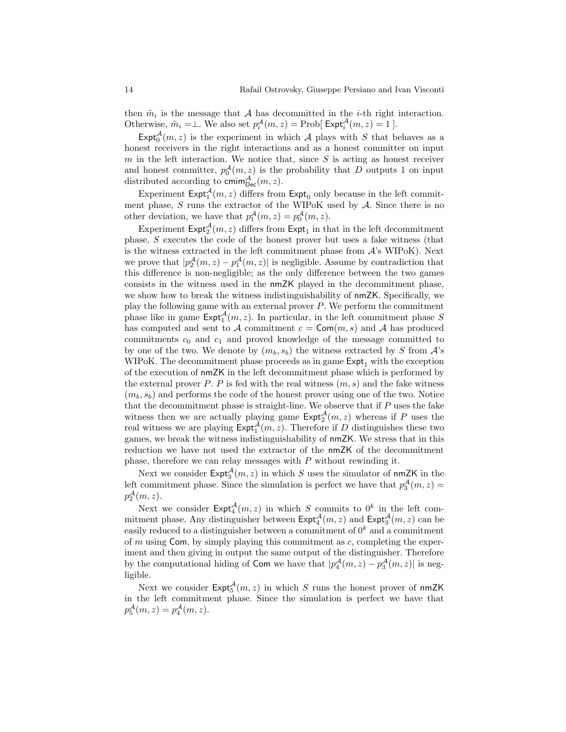then  $\tilde{m}_i$  is the message that A has decommitted in the *i*-th right interaction. Otherwise,  $\tilde{m}_i = \perp$ . We also set  $p_i^{\mathcal{A}}(m, z) = \text{Prob}[\text{Expt}_i^{\mathcal{A}}(m, z) = 1].$ 

 $\text{Ext}_{0}^{\mathcal{A}}(m,z)$  is the experiment in which  $\mathcal{A}$  plays with  $S$  that behaves as a honest receivers in the right interactions and as a honest committer on input m in the left interaction. We notice that, since  $S$  is acting as honest receiver and honest committer,  $p_0^{\mathcal{A}}(m, z)$  is the probability that D outputs 1 on input distributed according to  $\text{cmin}_{\text{Dec}}^{\mathcal{A}}(m, z)$ .

Experiment  $\text{Expt}_1^{\mathcal{A}}(m,z)$  differs from  $\text{Expt}_0$  only because in the left commitment phase,  $S$  runs the extractor of the WIPoK used by  $A$ . Since there is no other deviation, we have that  $p_1^{\mathcal{A}}(m, z) = p_0^{\mathcal{A}}(m, z)$ .

Experiment  $\text{Expt}_2^{\mathcal{A}}(m, z)$  differs from  $\text{Expt}_1$  in that in the left decommitment phase, S executes the code of the honest prover but uses a fake witness (that is the witness extracted in the left commitment phase from A's WIPoK). Next we prove that  $|p_2^{\mathcal{A}}(m,z) - p_1^{\mathcal{A}}(m,z)|$  is negligible. Assume by contradiction that this difference is non-negligible; as the only difference between the two games consists in the witness used in the nmZK played in the decommitment phase, we show how to break the witness indistinguishability of nmZK. Specifically, we play the following game with an external prover  $P$ . We perform the commitment phase like in game  $\text{Expt}_1^{\mathcal{A}}(m, z)$ . In particular, in the left commitment phase S has computed and sent to A commitment  $c = \text{Com}(m, s)$  and A has produced commitments  $c_0$  and  $c_1$  and proved knowledge of the message committed to by one of the two. We denote by  $(m_b, s_b)$  the witness extracted by S from  $\mathcal{A}$ 's WIPoK. The decommitment phase proceeds as in game  $\text{Expt}_1$  with the exception of the execution of nmZK in the left decommitment phase which is performed by the external prover  $P$ .  $P$  is fed with the real witness  $(m, s)$  and the fake witness  $(m_b, s_b)$  and performs the code of the honest prover using one of the two. Notice that the decommitment phase is straight-line. We observe that if  $P$  uses the fake witness then we are actually playing game  $\text{Ext}_2^{\mathcal{A}}(m, z)$  whereas if P uses the real witness we are playing  $\text{Expt}_1^{\mathcal{A}}(m, z)$ . Therefore if D distinguishes these two games, we break the witness indistinguishability of nmZK. We stress that in this reduction we have not used the extractor of the nmZK of the decommitment phase, therefore we can relay messages with P without rewinding it.

Next we consider  $\mathsf{Expt}_3^{\mathcal{A}}(m,z)$  in which  $S$  uses the simulator of nmZK in the left commitment phase. Since the simulation is perfect we have that  $p_3^{\mathcal{A}}(m, z) =$  $p_2^{\mathcal{A}}(m,z)$ .

Next we consider  $\textsf{Expt}_4^{\mathcal{A}}(m,z)$  in which S commits to  $0^k$  in the left commitment phase. Any distinguisher between  $\text{Expt}_4^{\mathcal{A}}(m, z)$  and  $\text{Expt}_3^{\mathcal{A}}(m, z)$  can be easily reduced to a distinguisher between a commitment of  $0^k$  and a commitment of  $m$  using Com, by simply playing this commitment as  $c$ , completing the experiment and then giving in output the same output of the distinguisher. Therefore by the computational hiding of Com we have that  $|p_4^{\mathcal{A}}(m,z) - p_3^{\mathcal{A}}(m,z)|$  is negligible.

Next we consider  $\mathsf{Expt}_5^\mathcal{A}(m,z)$  in which  $S$  runs the honest prover of nmZK in the left commitment phase. Since the simulation is perfect we have that  $p_5^{\mathcal{A}}(m, z) = p_4^{\mathcal{A}}(m, z).$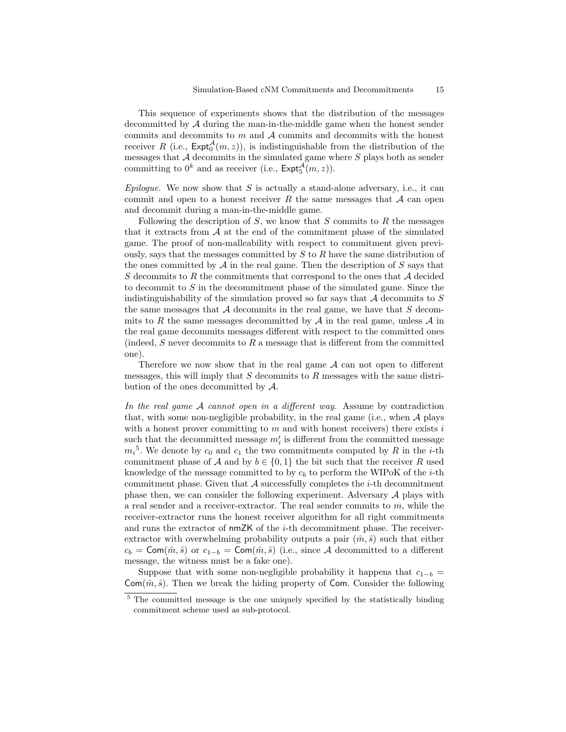This sequence of experiments shows that the distribution of the messages decommitted by  $A$  during the man-in-the-middle game when the honest sender commits and decommits to  $m$  and  $A$  commits and decommits with the honest receiver R (i.e.,  $\text{Expt}_0^{\mathcal{A}}(m,z)$ ), is indistinguishable from the distribution of the messages that  $A$  decommits in the simulated game where  $S$  plays both as sender committing to  $0^k$  and as receiver (i.e.,  $\text{Expt}_5^{\mathcal{A}}(m, z)$ ).

Epilogue. We now show that  $S$  is actually a stand-alone adversary, i.e., it can commit and open to a honest receiver  $R$  the same messages that  $A$  can open and decommit during a man-in-the-middle game.

Following the description of  $S$ , we know that  $S$  commits to  $R$  the messages that it extracts from  $A$  at the end of the commitment phase of the simulated game. The proof of non-malleability with respect to commitment given previously, says that the messages committed by  $S$  to  $R$  have the same distribution of the ones committed by  $\mathcal A$  in the real game. Then the description of S says that S decommits to R the commitments that correspond to the ones that  $A$  decided to decommit to  $S$  in the decommitment phase of the simulated game. Since the indistinguishability of the simulation proved so far says that  $A$  decommits to  $S$ the same messages that  $A$  decommits in the real game, we have that  $S$  decommits to R the same messages decommitted by  $A$  in the real game, unless  $A$  in the real game decommits messages different with respect to the committed ones (indeed,  $S$  never decommits to  $R$  a message that is different from the committed one).

Therefore we now show that in the real game  $A$  can not open to different messages, this will imply that  $S$  decommits to  $R$  messages with the same distribution of the ones decommitted by A.

In the real game A cannot open in a different way. Assume by contradiction that, with some non-negligible probability, in the real game (i.e., when  $A$  plays with a honest prover committing to  $m$  and with honest receivers) there exists  $i$ such that the decommitted message  $m_i'$  is different from the committed message  $m_i^5$ . We denote by  $c_0$  and  $c_1$  the two commitments computed by R in the *i*-th commitment phase of A and by  $b \in \{0,1\}$  the bit such that the receiver R used knowledge of the message committed to by  $c_b$  to perform the WIPoK of the *i*-th commitment phase. Given that  $A$  successfully completes the  $i$ -th decommitment phase then, we can consider the following experiment. Adversary  $A$  plays with a real sender and a receiver-extractor. The real sender commits to m, while the receiver-extractor runs the honest receiver algorithm for all right commitments and runs the extractor of  $nmZK$  of the *i*-th decommitment phase. The receiverextractor with overwhelming probability outputs a pair  $(\hat{m}, \hat{s})$  such that either  $c_b = \textsf{Com}(\hat{m}, \hat{s})$  or  $c_{1-b} = \textsf{Com}(\hat{m}, \hat{s})$  (i.e., since A decommitted to a different message, the witness must be a fake one).

Suppose that with some non-negligible probability it happens that  $c_{1-b}$  =  $\mathsf{Com}(\hat m,\hat s)$ . Then we break the hiding property of Com. Consider the following

<sup>&</sup>lt;sup>5</sup> The committed message is the one uniquely specified by the statistically binding commitment scheme used as sub-protocol.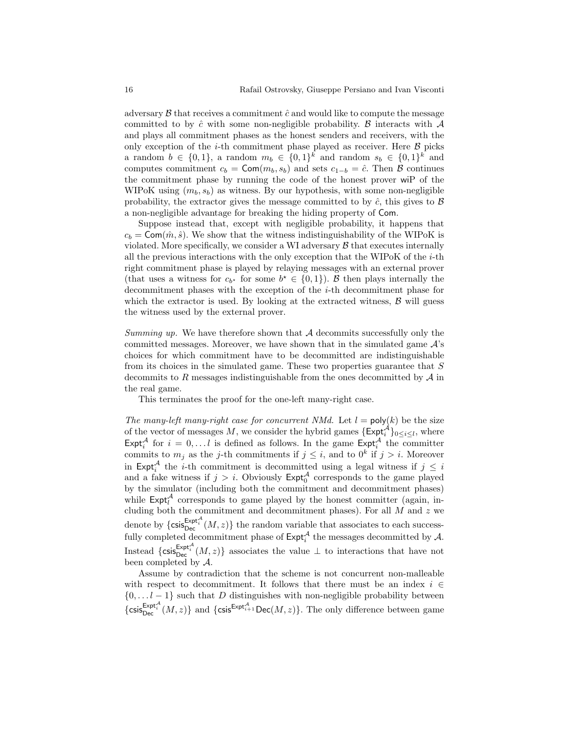adversary  $\beta$  that receives a commitment  $\hat{c}$  and would like to compute the message committed to by  $\hat{c}$  with some non-negligible probability. B interacts with A and plays all commitment phases as the honest senders and receivers, with the only exception of the *i*-th commitment phase played as receiver. Here  $\beta$  picks a random  $b \in \{0,1\}$ , a random  $m_b \in \{0,1\}^k$  and random  $s_b \in \{0,1\}^k$  and computes commitment  $c_b = \text{Com}(m_b, s_b)$  and sets  $c_{1-b} = \hat{c}$ . Then B continues the commitment phase by running the code of the honest prover wiP of the WIPoK using  $(m_b, s_b)$  as witness. By our hypothesis, with some non-negligible probability, the extractor gives the message committed to by  $\hat{c}$ , this gives to  $\beta$ a non-negligible advantage for breaking the hiding property of Com.

Suppose instead that, except with negligible probability, it happens that  $c_b = \textsf{Com}(\hat{m}, \hat{s})$ . We show that the witness indistinguishability of the WIPoK is violated. More specifically, we consider a WI adversary  $\beta$  that executes internally all the previous interactions with the only exception that the WIPoK of the  $i$ -th right commitment phase is played by relaying messages with an external prover (that uses a witness for  $c_{b^*}$  for some  $b^* \in \{0,1\}$ ). B then plays internally the decommitment phases with the exception of the i-th decommitment phase for which the extractor is used. By looking at the extracted witness,  $\beta$  will guess the witness used by the external prover.

*Summing up.* We have therefore shown that  $\mathcal A$  decommits successfully only the committed messages. Moreover, we have shown that in the simulated game  $A$ 's choices for which commitment have to be decommitted are indistinguishable from its choices in the simulated game. These two properties guarantee that S decommits to R messages indistinguishable from the ones decommitted by  $\mathcal A$  in the real game.

This terminates the proof for the one-left many-right case.

The many-left many-right case for concurrent NMd. Let  $l = \text{poly}(k)$  be the size of the vector of messages M, we consider the hybrid games  $\{\text{Expt}_{i}^{\mathcal{A}}\}_{0 \leq i \leq l}$ , where  $\mathsf{Expt}_i^{\mathcal{A}}$  for  $i = 0, \ldots l$  is defined as follows. In the game  $\mathsf{Expt}_i^{\mathcal{A}}$  the committer commits to  $m_j$  as the j-th commitments if  $j \leq i$ , and to  $0^k$  if  $j > i$ . Moreover in  $\text{Expt}_i^{\mathcal{A}}$  the *i*-th commitment is decommitted using a legal witness if  $j \leq i$ and a fake witness if  $j > i$ . Obviously  $\text{Expt}_0^{\mathcal{A}}$  corresponds to the game played by the simulator (including both the commitment and decommitment phases) while  $\text{Expt}_l^{\mathcal{A}}$  corresponds to game played by the honest committer (again, including both the commitment and decommitment phases). For all  $M$  and  $z$  we denote by  $\{ \textsf{csis}_{\textsf{Dec}}^{\textsf{Expt}_i^{\mathcal{A}}}(M,z) \}$  the random variable that associates to each successfully completed decommitment phase of  $\text{Expt}_i^{\mathcal{A}}$  the messages decommitted by  $\mathcal{A}$ . Instead  $\{ \textsf{csis}_{\textsf{Dec}}^{\textsf{Expt},4}(M,z) \}$  associates the value  $\perp$  to interactions that have not been completed by A.

Assume by contradiction that the scheme is not concurrent non-malleable with respect to decommitment. It follows that there must be an index  $i \in$  $\{0, \ldots, l-1\}$  such that D distinguishes with non-negligible probability between  $\{\textsf{csis}_{\textsf{Dec}}^{\textsf{Expt}_i^{\mathcal{A}}}(M,z)\}\$  and  $\{\textsf{csis}_{\textsf{Expt}_{i+1}^{\mathcal{A}}}\textsf{Dec}(M,z)\}\$ . The only difference between game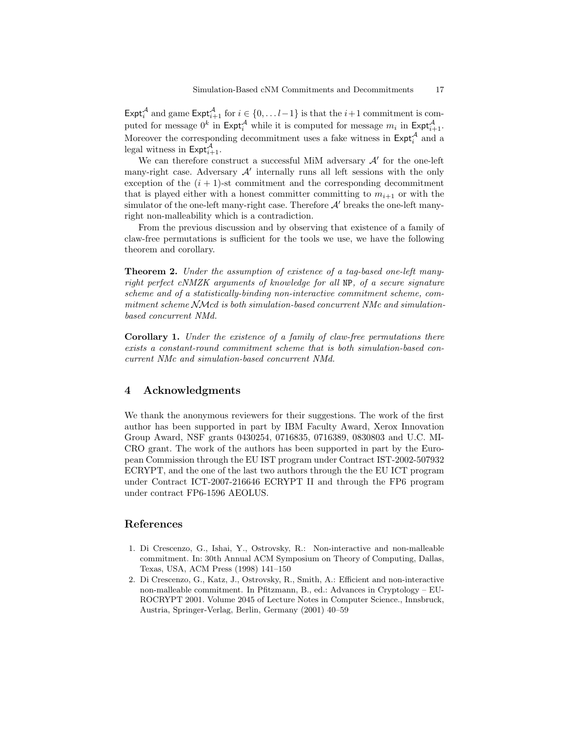$\textsf{Expt}_i^{\mathcal{A}}$  and game  $\textsf{Expt}_{i+1}^{\mathcal{A}}$  for  $i \in \{0, \ldots l-1\}$  is that the  $i+1$  commitment is computed for message  $0^k$  in  $\text{Expt}_i^{\mathcal{A}}$  while it is computed for message  $m_i$  in  $\text{Expt}_{i+1}^{\mathcal{A}}$ . Moreover the corresponding decommitment uses a fake witness in  $\mathsf{Expt}_i^{\mathcal{A}}$  and a legal witness in  $\mathsf{Expt}_{i+1}^{\mathcal{A}}$ .

We can therefore construct a successful MiM adversary  $A'$  for the one-left many-right case. Adversary  $A'$  internally runs all left sessions with the only exception of the  $(i + 1)$ -st commitment and the corresponding decommitment that is played either with a honest committer committing to  $m_{i+1}$  or with the simulator of the one-left many-right case. Therefore  $A'$  breaks the one-left manyright non-malleability which is a contradiction.

From the previous discussion and by observing that existence of a family of claw-free permutations is sufficient for the tools we use, we have the following theorem and corollary.

Theorem 2. Under the assumption of existence of a tag-based one-left manyright perfect cNMZK arguments of knowledge for all NP, of a secure signature scheme and of a statistically-binding non-interactive commitment scheme, commitment scheme NMcd is both simulation-based concurrent NMc and simulationbased concurrent NMd.

Corollary 1. Under the existence of a family of claw-free permutations there exists a constant-round commitment scheme that is both simulation-based concurrent NMc and simulation-based concurrent NMd.

#### 4 Acknowledgments

We thank the anonymous reviewers for their suggestions. The work of the first author has been supported in part by IBM Faculty Award, Xerox Innovation Group Award, NSF grants 0430254, 0716835, 0716389, 0830803 and U.C. MI-CRO grant. The work of the authors has been supported in part by the European Commission through the EU IST program under Contract IST-2002-507932 ECRYPT, and the one of the last two authors through the the EU ICT program under Contract ICT-2007-216646 ECRYPT II and through the FP6 program under contract FP6-1596 AEOLUS.

#### References

- 1. Di Crescenzo, G., Ishai, Y., Ostrovsky, R.: Non-interactive and non-malleable commitment. In: 30th Annual ACM Symposium on Theory of Computing, Dallas, Texas, USA, ACM Press (1998) 141–150
- 2. Di Crescenzo, G., Katz, J., Ostrovsky, R., Smith, A.: Efficient and non-interactive non-malleable commitment. In Pfitzmann, B., ed.: Advances in Cryptology – EU-ROCRYPT 2001. Volume 2045 of Lecture Notes in Computer Science., Innsbruck, Austria, Springer-Verlag, Berlin, Germany (2001) 40–59